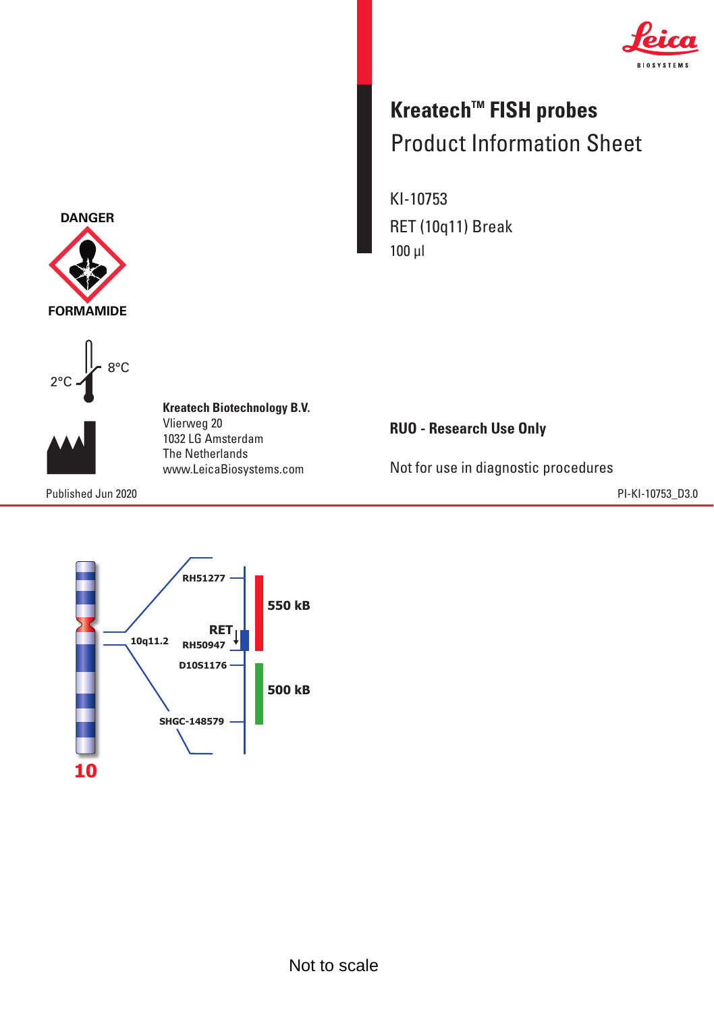

## **Kreatech™ FISH probes** Product Information Sheet Product Information Sheet

KI-10753 RET (10q11) Break 100 µl

**RUO - Research Use Only**

Not for use in diagnostic procedures



8°C 8°C 2°C 2°C **FORMAMIDE**

**DANGER**

**Kreatech Biotechnology B.V. Kreatech Biotechnology B.V.** Vlierweg 20 Vlierweg 20 1032 LG Amsterdam The Netherlands 1032 LG AmsterdamThe Netherlands www.LeicaBiosystems.com www.LeicaBiosystems.com

Published Jun 2020 PI-KI-10753\_D3.0